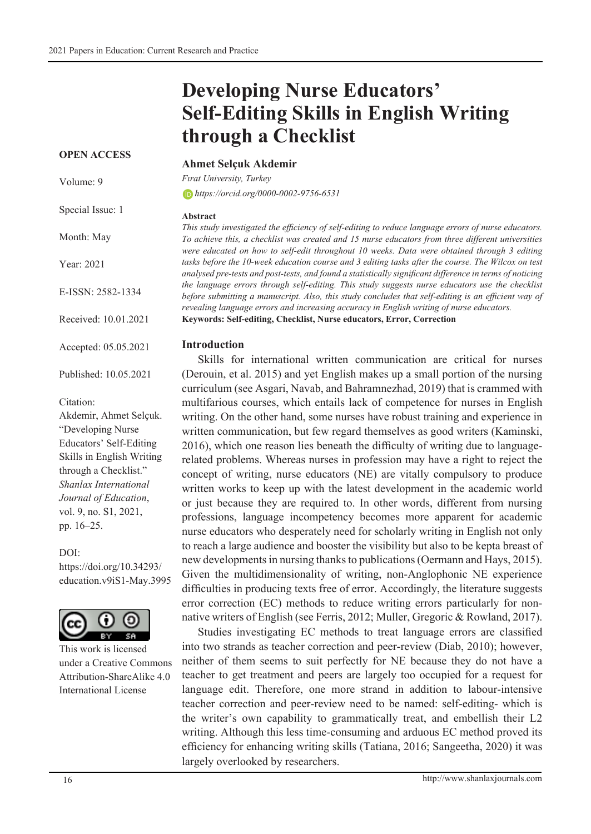# **Developing Nurse Educators' Self-Editing Skills in English Writing through a Checklist**

#### **OPEN ACCESS**

Volume: 9

Special Issue: 1

Month: May

Year: 2021

E-ISSN: 2582-1334

Received: 10.01.2021

Accepted: 05.05.2021

Published: 10.05.2021

#### Citation:

Akdemir, Ahmet Selçuk. "Developing Nurse Educators' Self-Editing Skills in English Writing through a Checklist." *Shanlax International Journal of Education*, vol. 9, no. S1, 2021, pp. 16–25.

#### DOI:

https://doi.org/10.34293/ education.v9iS1-May.3995



This work is licensed under a Creative Commons Attribution-ShareAlike 4.0 International License

#### **Ahmet Selçuk Akdemir**

*Fırat University, Turkey*

*https://orcid.org/0000-0002-9756-6531*

#### **Abstract**

*This study investigated the efficiency of self-editing to reduce language errors of nurse educators. To achieve this, a checklist was created and 15 nurse educators from three different universities were educated on how to self-edit throughout 10 weeks. Data were obtained through 3 editing*  tasks before the 10-week education course and 3 editing tasks after the course. The Wilcox on test *analysed pre-tests and post-tests, and found a statistically significant difference in terms of noticing the language errors through self-editing. This study suggests nurse educators use the checklist before submitting a manuscript. Also, this study concludes that self-editing is an efficient way of revealing language errors and increasing accuracy in English writing of nurse educators.*  **Keywords: Self-editing, Checklist, Nurse educators, Error, Correction**

#### **Introduction**

Skills for international written communication are critical for nurses (Derouin, et al. 2015) and yet English makes up a small portion of the nursing curriculum (see Asgari, Navab, and Bahramnezhad, 2019) that is crammed with multifarious courses, which entails lack of competence for nurses in English writing. On the other hand, some nurses have robust training and experience in written communication, but few regard themselves as good writers (Kaminski, 2016), which one reason lies beneath the difficulty of writing due to languagerelated problems. Whereas nurses in profession may have a right to reject the concept of writing, nurse educators (NE) are vitally compulsory to produce written works to keep up with the latest development in the academic world or just because they are required to. In other words, different from nursing professions, language incompetency becomes more apparent for academic nurse educators who desperately need for scholarly writing in English not only to reach a large audience and booster the visibility but also to be kepta breast of new developments in nursing thanks to publications (Oermann and Hays, 2015). Given the multidimensionality of writing, non-Anglophonic NE experience difficulties in producing texts free of error. Accordingly, the literature suggests error correction (EC) methods to reduce writing errors particularly for nonnative writers of English (see Ferris, 2012; Muller, Gregoric & Rowland, 2017).

Studies investigating EC methods to treat language errors are classified into two strands as teacher correction and peer-review (Diab, 2010); however, neither of them seems to suit perfectly for NE because they do not have a teacher to get treatment and peers are largely too occupied for a request for language edit. Therefore, one more strand in addition to labour-intensive teacher correction and peer-review need to be named: self-editing- which is the writer's own capability to grammatically treat, and embellish their L2 writing. Although this less time-consuming and arduous EC method proved its efficiency for enhancing writing skills (Tatiana, 2016; Sangeetha, 2020) it was largely overlooked by researchers.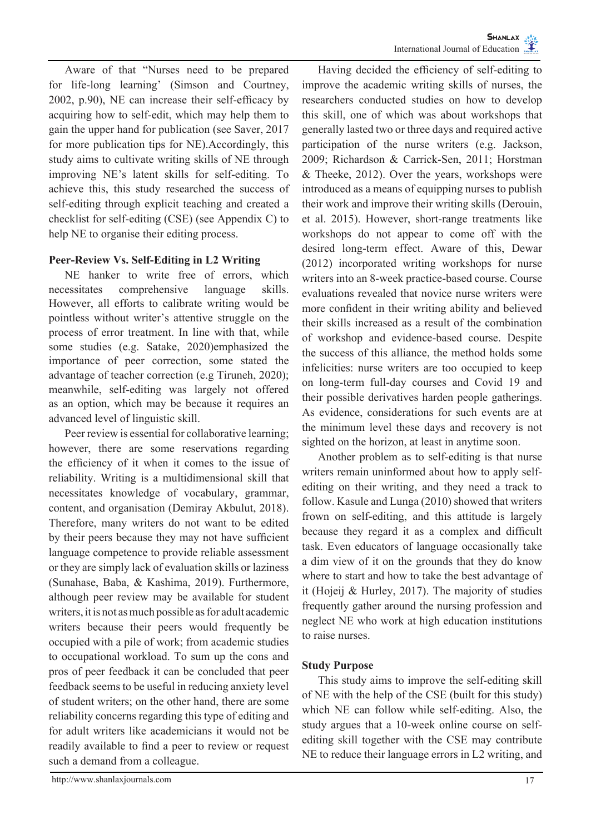Aware of that "Nurses need to be prepared for life-long learning' (Simson and Courtney, 2002, p.90), NE can increase their self-efficacy by acquiring how to self-edit, which may help them to gain the upper hand for publication (see Saver, 2017 for more publication tips for NE).Accordingly, this study aims to cultivate writing skills of NE through improving NE's latent skills for self-editing. To achieve this, this study researched the success of self-editing through explicit teaching and created a checklist for self-editing (CSE) (see Appendix C) to help NE to organise their editing process.

# **Peer-Review Vs. Self-Editing in L2 Writing**

NE hanker to write free of errors, which necessitates comprehensive language skills. However, all efforts to calibrate writing would be pointless without writer's attentive struggle on the process of error treatment. In line with that, while some studies (e.g. Satake, 2020)emphasized the importance of peer correction, some stated the advantage of teacher correction (e.g Tiruneh, 2020); meanwhile, self-editing was largely not offered as an option, which may be because it requires an advanced level of linguistic skill.

Peer review is essential for collaborative learning; however, there are some reservations regarding the efficiency of it when it comes to the issue of reliability. Writing is a multidimensional skill that necessitates knowledge of vocabulary, grammar, content, and organisation (Demiray Akbulut, 2018). Therefore, many writers do not want to be edited by their peers because they may not have sufficient language competence to provide reliable assessment or they are simply lack of evaluation skills or laziness (Sunahase, Baba, & Kashima, 2019). Furthermore, although peer review may be available for student writers, it is not as much possible as for adult academic writers because their peers would frequently be occupied with a pile of work; from academic studies to occupational workload. To sum up the cons and pros of peer feedback it can be concluded that peer feedback seems to be useful in reducing anxiety level of student writers; on the other hand, there are some reliability concerns regarding this type of editing and for adult writers like academicians it would not be readily available to find a peer to review or request such a demand from a colleague.

Having decided the efficiency of self-editing to improve the academic writing skills of nurses, the researchers conducted studies on how to develop this skill, one of which was about workshops that generally lasted two or three days and required active participation of the nurse writers (e.g. Jackson, 2009; Richardson & Carrick-Sen, 2011; Horstman & Theeke, 2012). Over the years, workshops were introduced as a means of equipping nurses to publish their work and improve their writing skills (Derouin, et al. 2015). However, short-range treatments like workshops do not appear to come off with the desired long-term effect. Aware of this, Dewar (2012) incorporated writing workshops for nurse writers into an 8-week practice-based course. Course evaluations revealed that novice nurse writers were more confident in their writing ability and believed their skills increased as a result of the combination of workshop and evidence-based course. Despite the success of this alliance, the method holds some infelicities: nurse writers are too occupied to keep on long-term full-day courses and Covid 19 and their possible derivatives harden people gatherings. As evidence, considerations for such events are at the minimum level these days and recovery is not sighted on the horizon, at least in anytime soon.

Another problem as to self-editing is that nurse writers remain uninformed about how to apply selfediting on their writing, and they need a track to follow. Kasule and Lunga (2010) showed that writers frown on self-editing, and this attitude is largely because they regard it as a complex and difficult task. Even educators of language occasionally take a dim view of it on the grounds that they do know where to start and how to take the best advantage of it (Hojeij & Hurley, 2017). The majority of studies frequently gather around the nursing profession and neglect NE who work at high education institutions to raise nurses.

# **Study Purpose**

This study aims to improve the self-editing skill of NE with the help of the CSE (built for this study) which NE can follow while self-editing. Also, the study argues that a 10-week online course on selfediting skill together with the CSE may contribute NE to reduce their language errors in L2 writing, and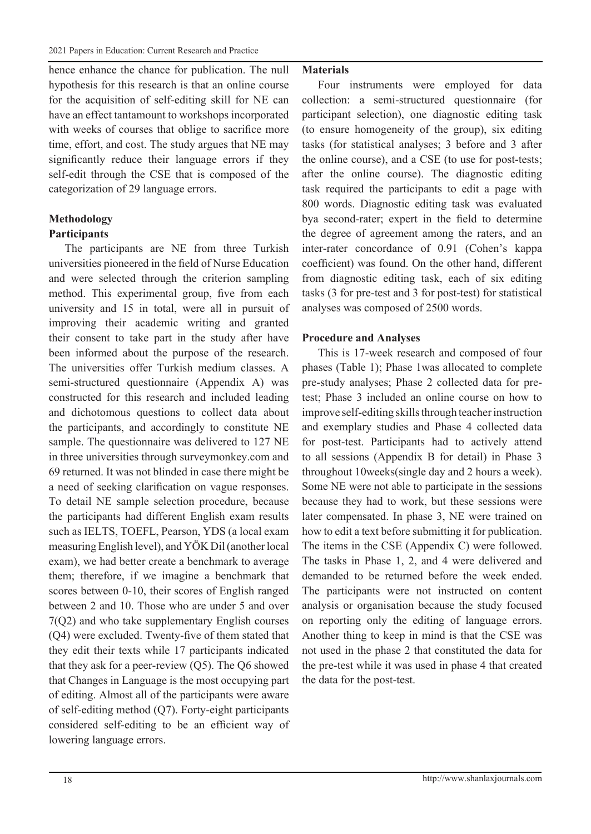hence enhance the chance for publication. The null hypothesis for this research is that an online course for the acquisition of self-editing skill for NE can have an effect tantamount to workshops incorporated with weeks of courses that oblige to sacrifice more time, effort, and cost. The study argues that NE may significantly reduce their language errors if they self-edit through the CSE that is composed of the categorization of 29 language errors.

## **Methodology Participants**

The participants are NE from three Turkish universities pioneered in the field of Nurse Education and were selected through the criterion sampling method. This experimental group, five from each university and 15 in total, were all in pursuit of improving their academic writing and granted their consent to take part in the study after have been informed about the purpose of the research. The universities offer Turkish medium classes. A semi-structured questionnaire (Appendix A) was constructed for this research and included leading and dichotomous questions to collect data about the participants, and accordingly to constitute NE sample. The questionnaire was delivered to 127 NE in three universities through surveymonkey.com and 69 returned. It was not blinded in case there might be a need of seeking clarification on vague responses. To detail NE sample selection procedure, because the participants had different English exam results such as IELTS, TOEFL, Pearson, YDS (a local exam measuring English level), and YÖK Dil (another local exam), we had better create a benchmark to average them; therefore, if we imagine a benchmark that scores between 0-10, their scores of English ranged between 2 and 10. Those who are under 5 and over 7(Q2) and who take supplementary English courses (Q4) were excluded. Twenty-five of them stated that they edit their texts while 17 participants indicated that they ask for a peer-review (Q5). The Q6 showed that Changes in Language is the most occupying part of editing. Almost all of the participants were aware of self-editing method (Q7). Forty-eight participants considered self-editing to be an efficient way of lowering language errors.

#### **Materials**

Four instruments were employed for data collection: a semi-structured questionnaire (for participant selection), one diagnostic editing task (to ensure homogeneity of the group), six editing tasks (for statistical analyses; 3 before and 3 after the online course), and a CSE (to use for post-tests; after the online course). The diagnostic editing task required the participants to edit a page with 800 words. Diagnostic editing task was evaluated bya second-rater; expert in the field to determine the degree of agreement among the raters, and an inter-rater concordance of 0.91 (Cohen's kappa coefficient) was found. On the other hand, different from diagnostic editing task, each of six editing tasks (3 for pre-test and 3 for post-test) for statistical analyses was composed of 2500 words.

## **Procedure and Analyses**

This is 17-week research and composed of four phases (Table 1); Phase 1was allocated to complete pre-study analyses; Phase 2 collected data for pretest; Phase 3 included an online course on how to improve self-editing skills through teacher instruction and exemplary studies and Phase 4 collected data for post-test. Participants had to actively attend to all sessions (Appendix B for detail) in Phase 3 throughout 10weeks(single day and 2 hours a week). Some NE were not able to participate in the sessions because they had to work, but these sessions were later compensated. In phase 3, NE were trained on how to edit a text before submitting it for publication. The items in the CSE (Appendix C) were followed. The tasks in Phase 1, 2, and 4 were delivered and demanded to be returned before the week ended. The participants were not instructed on content analysis or organisation because the study focused on reporting only the editing of language errors. Another thing to keep in mind is that the CSE was not used in the phase 2 that constituted the data for the pre-test while it was used in phase 4 that created the data for the post-test.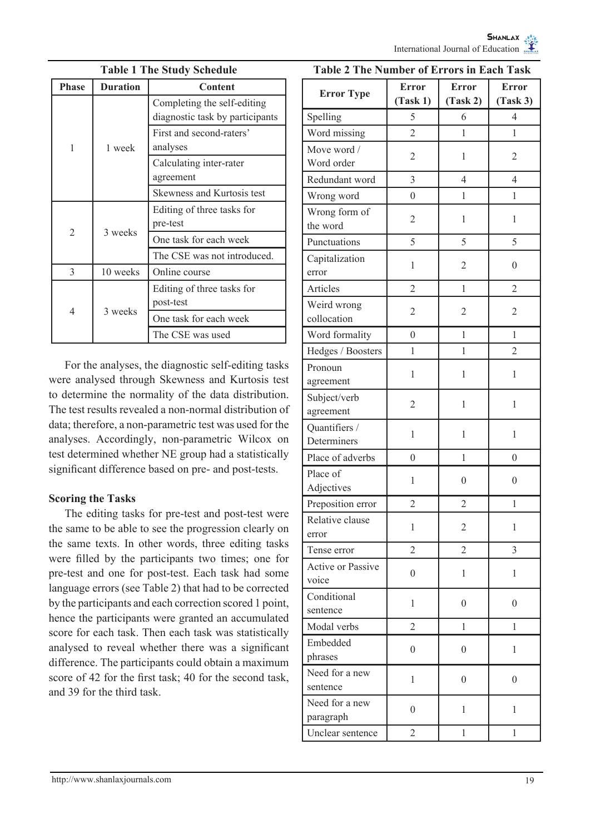| <b>Table 1 The Study Schedule</b> |                 |                                                                |  |  |  |
|-----------------------------------|-----------------|----------------------------------------------------------------|--|--|--|
| <b>Phase</b>                      | <b>Duration</b> | Content                                                        |  |  |  |
|                                   | 1 week          | Completing the self-editing<br>diagnostic task by participants |  |  |  |
| 1                                 |                 | First and second-raters'<br>analyses                           |  |  |  |
|                                   |                 | Calculating inter-rater<br>agreement                           |  |  |  |
|                                   |                 | Skewness and Kurtosis test                                     |  |  |  |
|                                   | 3 weeks         | Editing of three tasks for<br>pre-test                         |  |  |  |
| $\overline{c}$                    |                 | One task for each week                                         |  |  |  |
|                                   |                 | The CSE was not introduced.                                    |  |  |  |
| $\mathcal{E}$                     | 10 weeks        | Online course                                                  |  |  |  |
|                                   | 3 weeks         | Editing of three tasks for<br>post-test                        |  |  |  |
| 4                                 |                 | One task for each week                                         |  |  |  |
|                                   |                 | The CSE was used                                               |  |  |  |

For the analyses, the diagnostic self-editing tasks were analysed through Skewness and Kurtosis test to determine the normality of the data distribution. The test results revealed a non-normal distribution of data; therefore, a non-parametric test was used for the analyses. Accordingly, non-parametric Wilcox on test determined whether NE group had a statistically significant difference based on pre- and post-tests.

# **Scoring the Tasks**

The editing tasks for pre-test and post-test were the same to be able to see the progression clearly on the same texts. In other words, three editing tasks were filled by the participants two times; one for pre-test and one for post-test. Each task had some language errors (see Table 2) that had to be corrected by the participants and each correction scored 1 point, hence the participants were granted an accumulated score for each task. Then each task was statistically analysed to reveal whether there was a significant difference. The participants could obtain a maximum score of 42 for the first task; 40 for the second task, and 39 for the third task.

## **Table 2 The Number of Errors in Each Task**

| <b>Error Type</b>                 | <b>Error</b><br>(Task 1) | <b>Error</b><br>(Task 2) | <b>Error</b><br>(Task 3) |
|-----------------------------------|--------------------------|--------------------------|--------------------------|
| Spelling                          | 5                        | 6                        | 4                        |
| Word missing                      | $\overline{2}$           | 1                        | 1                        |
| Move word /<br>Word order         | $\overline{c}$           | 1                        | 2                        |
| Redundant word                    | 3                        | 4                        | 4                        |
| Wrong word                        | $\overline{0}$           | 1                        | 1                        |
| Wrong form of<br>the word         | 2                        | 1                        | 1                        |
| Punctuations                      | 5                        | 5                        | 5                        |
| Capitalization<br>error           | 1                        | $\overline{2}$           | $\overline{0}$           |
| Articles                          | $\overline{2}$           | 1                        | $\overline{2}$           |
| Weird wrong<br>collocation        | 2                        | $\overline{2}$           | $\overline{2}$           |
| Word formality                    | $\overline{0}$           | 1                        | 1                        |
| Hedges / Boosters                 | 1                        | 1                        | $\overline{2}$           |
| Pronoun<br>agreement              | 1                        | 1                        | 1                        |
| Subject/verb<br>agreement         | 2                        | 1                        | 1                        |
| Quantifiers /<br>Determiners      | 1<br>1                   |                          | 1                        |
| Place of adverbs                  | $\overline{0}$           | 1                        | 0                        |
| Place of<br>Adjectives            | 1                        | $\mathbf{0}$             | $\overline{0}$           |
| Preposition error                 | $\overline{2}$<br>2      |                          | 1                        |
| Relative clause<br>error          | 1                        | $\overline{2}$           | 1                        |
| Tense error                       | $\overline{2}$           | $\overline{2}$           | 3                        |
| <b>Active or Passive</b><br>voice | $\overline{0}$           | 1                        | 1                        |
| Conditional<br>sentence           | $\mathbf{1}$             | $\boldsymbol{0}$         | $\overline{0}$           |
| Modal verbs                       | $\overline{c}$           | 1                        | 1                        |
| Embedded<br>phrases               | $\overline{0}$           | 0                        | 1                        |
| Need for a new<br>sentence        | 1                        | $\mathbf{0}$             | $\theta$                 |
| Need for a new<br>paragraph       | 0                        | 1                        | 1                        |
| Unclear sentence                  | $\overline{c}$           | 1                        | 1                        |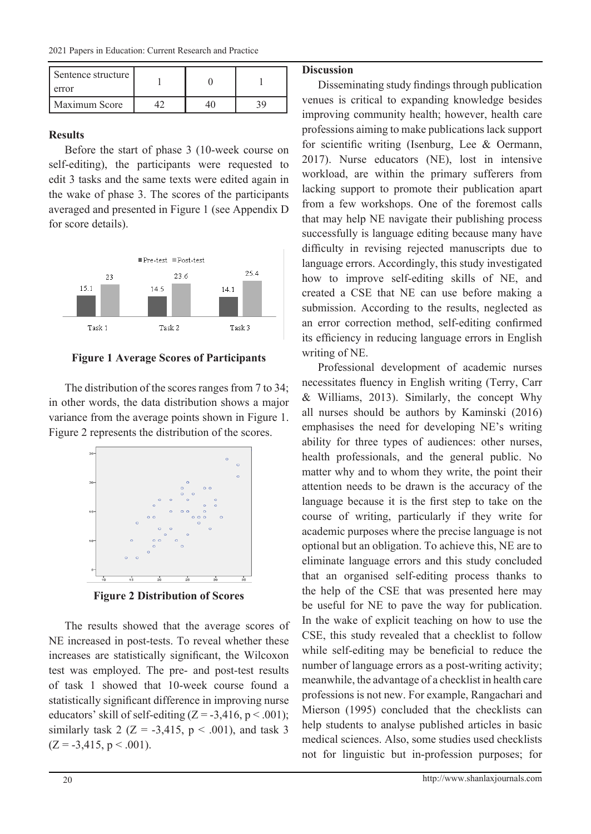| Sentence structure  <br>error |  |     |
|-------------------------------|--|-----|
| Maximum Score                 |  | ٦Ο. |

### **Results**

Before the start of phase 3 (10-week course on self-editing), the participants were requested to edit 3 tasks and the same texts were edited again in the wake of phase 3. The scores of the participants averaged and presented in Figure 1 (see Appendix D for score details).



# **Figure 1 Average Scores of Participants**

The distribution of the scores ranges from 7 to 34; in other words, the data distribution shows a major variance from the average points shown in Figure 1. Figure 2 represents the distribution of the scores.



**Figure 2 Distribution of Scores**

The results showed that the average scores of NE increased in post-tests. To reveal whether these increases are statistically significant, the Wilcoxon test was employed. The pre- and post-test results of task 1 showed that 10-week course found a statistically significant difference in improving nurse educators' skill of self-editing  $(Z = -3.416, p < .001)$ ; similarly task 2 ( $Z = -3,415, p < .001$ ), and task 3  $(Z = -3,415, p < .001)$ .

### **Discussion**

Disseminating study findings through publication venues is critical to expanding knowledge besides improving community health; however, health care professions aiming to make publications lack support for scientific writing (Isenburg, Lee & Oermann, 2017). Nurse educators (NE), lost in intensive workload, are within the primary sufferers from lacking support to promote their publication apart from a few workshops. One of the foremost calls that may help NE navigate their publishing process successfully is language editing because many have difficulty in revising rejected manuscripts due to language errors. Accordingly, this study investigated how to improve self-editing skills of NE, and created a CSE that NE can use before making a submission. According to the results, neglected as an error correction method, self-editing confirmed its efficiency in reducing language errors in English writing of NE.

Professional development of academic nurses necessitates fluency in English writing (Terry, Carr & Williams, 2013). Similarly, the concept Why all nurses should be authors by Kaminski (2016) emphasises the need for developing NE's writing ability for three types of audiences: other nurses, health professionals, and the general public. No matter why and to whom they write, the point their attention needs to be drawn is the accuracy of the language because it is the first step to take on the course of writing, particularly if they write for academic purposes where the precise language is not optional but an obligation. To achieve this, NE are to eliminate language errors and this study concluded that an organised self-editing process thanks to the help of the CSE that was presented here may be useful for NE to pave the way for publication. In the wake of explicit teaching on how to use the CSE, this study revealed that a checklist to follow while self-editing may be beneficial to reduce the number of language errors as a post-writing activity; meanwhile, the advantage of a checklist in health care professions is not new. For example, Rangachari and Mierson (1995) concluded that the checklists can help students to analyse published articles in basic medical sciences. Also, some studies used checklists not for linguistic but in-profession purposes; for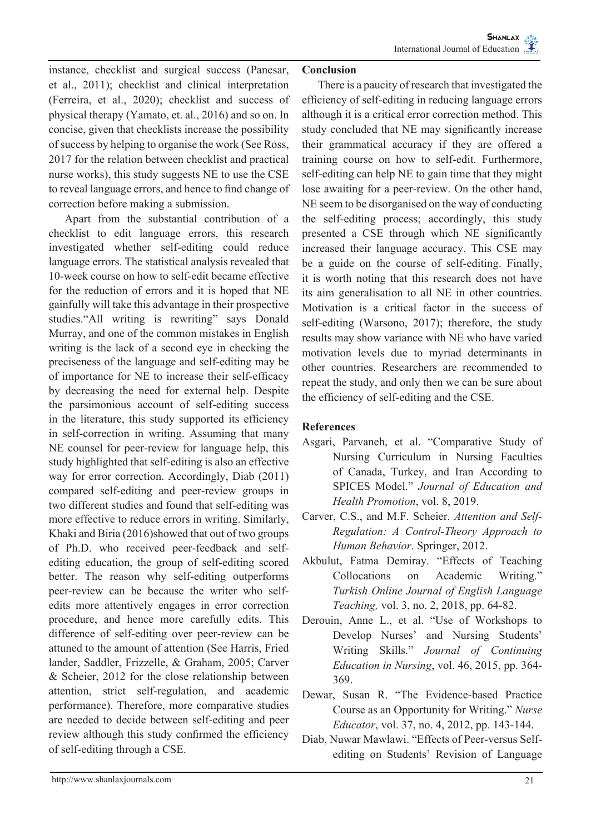instance, checklist and surgical success (Panesar, et al., 2011); checklist and clinical interpretation (Ferreira, et al., 2020); checklist and success of physical therapy (Yamato, et. al., 2016) and so on. In concise, given that checklists increase the possibility of success by helping to organise the work (See Ross, 2017 for the relation between checklist and practical nurse works), this study suggests NE to use the CSE to reveal language errors, and hence to find change of correction before making a submission.

Apart from the substantial contribution of a checklist to edit language errors, this research investigated whether self-editing could reduce language errors. The statistical analysis revealed that 10-week course on how to self-edit became effective for the reduction of errors and it is hoped that NE gainfully will take this advantage in their prospective studies."All writing is rewriting" says Donald Murray, and one of the common mistakes in English writing is the lack of a second eye in checking the preciseness of the language and self-editing may be of importance for NE to increase their self-efficacy by decreasing the need for external help. Despite the parsimonious account of self-editing success in the literature, this study supported its efficiency in self-correction in writing. Assuming that many NE counsel for peer-review for language help, this study highlighted that self-editing is also an effective way for error correction. Accordingly, Diab (2011) compared self-editing and peer-review groups in two different studies and found that self-editing was more effective to reduce errors in writing. Similarly, Khaki and Biria (2016)showed that out of two groups of Ph.D. who received peer-feedback and selfediting education, the group of self-editing scored better. The reason why self-editing outperforms peer-review can be because the writer who selfedits more attentively engages in error correction procedure, and hence more carefully edits. This difference of self-editing over peer-review can be attuned to the amount of attention (See Harris, Fried lander, Saddler, Frizzelle, & Graham, 2005; Carver & Scheier, 2012 for the close relationship between attention, strict self-regulation, and academic performance). Therefore, more comparative studies are needed to decide between self-editing and peer review although this study confirmed the efficiency of self-editing through a CSE.

#### **Conclusion**

There is a paucity of research that investigated the efficiency of self-editing in reducing language errors although it is a critical error correction method. This study concluded that NE may significantly increase their grammatical accuracy if they are offered a training course on how to self-edit. Furthermore, self-editing can help NE to gain time that they might lose awaiting for a peer-review. On the other hand, NE seem to be disorganised on the way of conducting the self-editing process; accordingly, this study presented a CSE through which NE significantly increased their language accuracy. This CSE may be a guide on the course of self-editing. Finally, it is worth noting that this research does not have its aim generalisation to all NE in other countries. Motivation is a critical factor in the success of self-editing (Warsono, 2017); therefore, the study results may show variance with NE who have varied motivation levels due to myriad determinants in other countries. Researchers are recommended to repeat the study, and only then we can be sure about the efficiency of self-editing and the CSE.

#### **References**

- Asgari, Parvaneh, et al. "Comparative Study of Nursing Curriculum in Nursing Faculties of Canada, Turkey, and Iran According to SPICES Model." *Journal of Education and Health Promotion*, vol. 8, 2019.
- Carver, C.S., and M.F. Scheier. *Attention and Self-Regulation: A Control-Theory Approach to Human Behavior*. Springer, 2012.
- Akbulut, Fatma Demiray. "Effects of Teaching Collocations on Academic Writing." *Turkish Online Journal of English Language Teaching,* vol. 3, no. 2, 2018, pp. 64-82.
- Derouin, Anne L., et al. "Use of Workshops to Develop Nurses' and Nursing Students' Writing Skills." *Journal of Continuing Education in Nursing*, vol. 46, 2015, pp. 364- 369.
- Dewar, Susan R. "The Evidence-based Practice Course as an Opportunity for Writing." *Nurse Educator*, vol. 37, no. 4, 2012, pp. 143-144.
- Diab, Nuwar Mawlawi. "Effects of Peer-versus Selfediting on Students' Revision of Language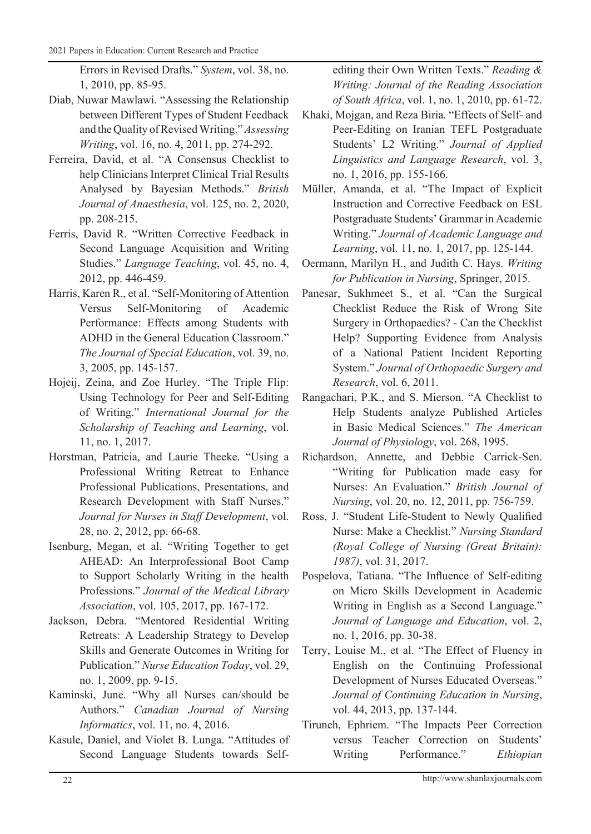Errors in Revised Drafts." *System*, vol. 38, no. 1, 2010, pp. 85-95.

- Diab, Nuwar Mawlawi. "Assessing the Relationship between Different Types of Student Feedback and the Quality of Revised Writing." *Assessing Writing*, vol. 16, no. 4, 2011, pp. 274-292.
- Ferreira, David, et al. "A Consensus Checklist to help Clinicians Interpret Clinical Trial Results Analysed by Bayesian Methods." *British Journal of Anaesthesia*, vol. 125, no. 2, 2020, pp. 208-215.
- Ferris, David R. "Written Corrective Feedback in Second Language Acquisition and Writing Studies." *Language Teaching*, vol. 45, no. 4, 2012, pp. 446-459.
- Harris, Karen R., et al. "Self-Monitoring of Attention Versus Self-Monitoring of Academic Performance: Effects among Students with ADHD in the General Education Classroom." *The Journal of Special Education*, vol. 39, no. 3, 2005, pp. 145-157.
- Hojeij, Zeina, and Zoe Hurley. "The Triple Flip: Using Technology for Peer and Self-Editing of Writing." *International Journal for the Scholarship of Teaching and Learning*, vol. 11, no. 1, 2017.
- Horstman, Patricia, and Laurie Theeke. "Using a Professional Writing Retreat to Enhance Professional Publications, Presentations, and Research Development with Staff Nurses." *Journal for Nurses in Staff Development*, vol. 28, no. 2, 2012, pp. 66-68.
- Isenburg, Megan, et al. "Writing Together to get AHEAD: An Interprofessional Boot Camp to Support Scholarly Writing in the health Professions." *Journal of the Medical Library Association*, vol. 105, 2017, pp. 167-172.
- Jackson, Debra. "Mentored Residential Writing Retreats: A Leadership Strategy to Develop Skills and Generate Outcomes in Writing for Publication." *Nurse Education Today*, vol. 29, no. 1, 2009, pp. 9-15.
- Kaminski, June. "Why all Nurses can/should be Authors." *Canadian Journal of Nursing Informatics*, vol. 11, no. 4, 2016.
- Kasule, Daniel, and Violet B. Lunga. "Attitudes of Second Language Students towards Self-

editing their Own Written Texts." *Reading & Writing: Journal of the Reading Association of South Africa*, vol. 1, no. 1, 2010, pp. 61-72.

- Khaki, Mojgan, and Reza Biria. "Effects of Self- and Peer-Editing on Iranian TEFL Postgraduate Students' L2 Writing." *Journal of Applied Linguistics and Language Research*, vol. 3, no. 1, 2016, pp. 155-166.
- Müller, Amanda, et al. "The Impact of Explicit Instruction and Corrective Feedback on ESL Postgraduate Students' Grammar in Academic Writing." *Journal of Academic Language and Learning*, vol. 11, no. 1, 2017, pp. 125-144.
- Oermann, Marilyn H., and Judith C. Hays. *Writing for Publication in Nursing*, Springer, 2015.
- Panesar, Sukhmeet S., et al. "Can the Surgical Checklist Reduce the Risk of Wrong Site Surgery in Orthopaedics? - Can the Checklist Help? Supporting Evidence from Analysis of a National Patient Incident Reporting System." *Journal of Orthopaedic Surgery and Research*, vol. 6, 2011.
- Rangachari, P.K., and S. Mierson. "A Checklist to Help Students analyze Published Articles in Basic Medical Sciences." *The American Journal of Physiology*, vol. 268, 1995.
- Richardson, Annette, and Debbie Carrick-Sen. "Writing for Publication made easy for Nurses: An Evaluation." *British Journal of Nursing*, vol. 20, no. 12, 2011, pp. 756-759.
- Ross, J. "Student Life-Student to Newly Qualified Nurse: Make a Checklist." *Nursing Standard (Royal College of Nursing (Great Britain): 1987)*, vol. 31, 2017.
- Pospelova, Tatiana. "The Influence of Self-editing on Micro Skills Development in Academic Writing in English as a Second Language." *Journal of Language and Education*, vol. 2, no. 1, 2016, pp. 30-38.
- Terry, Louise M., et al. "The Effect of Fluency in English on the Continuing Professional Development of Nurses Educated Overseas." *Journal of Continuing Education in Nursing*, vol. 44, 2013, pp. 137-144.
- Tiruneh, Ephriem. "The Impacts Peer Correction versus Teacher Correction on Students' Writing Performance." *Ethiopian*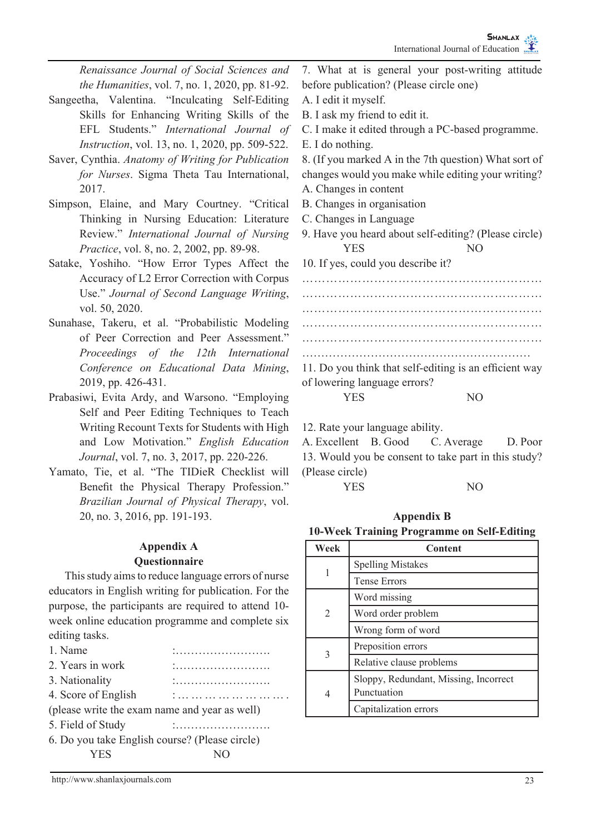*Renaissance Journal of Social Sciences and the Humanities*, vol. 7, no. 1, 2020, pp. 81-92. Sangeetha, Valentina. "Inculcating Self-Editing Skills for Enhancing Writing Skills of the EFL Students." *International Journal of Instruction*, vol. 13, no. 1, 2020, pp. 509-522. Saver, Cynthia. *Anatomy of Writing for Publication for Nurses*. Sigma Theta Tau International, 2017. Simpson, Elaine, and Mary Courtney. "Critical Thinking in Nursing Education: Literature Review." *International Journal of Nursing Practice*, vol. 8, no. 2, 2002, pp. 89-98. Satake, Yoshiho. "How Error Types Affect the Accuracy of L2 Error Correction with Corpus Use." *Journal of Second Language Writing*, vol. 50, 2020. Sunahase, Takeru, et al. "Probabilistic Modeling of Peer Correction and Peer Assessment." *Proceedings of the 12th International Conference on Educational Data Mining*, 2019, pp. 426-431. Prabasiwi, Evita Ardy, and Warsono. "Employing Self and Peer Editing Techniques to Teach Writing Recount Texts for Students with High and Low Motivation." *English Education Journal*, vol. 7, no. 3, 2017, pp. 220-226. Yamato, Tie, et al. "The TIDieR Checklist will Benefit the Physical Therapy Profession." *Brazilian Journal of Physical Therapy*, vol. 20, no. 3, 2016, pp. 191-193. **Appendix A Questionnaire** This study aims to reduce language errors of nurse educators in English writing for publication. For the purpose, the participants are required to attend 10 before publication? (Please circle one) A. I edit it myself. B. I ask my friend to edit it. E. I do nothing. changes would you make while editing your writing? A. Changes in content B. Changes in organisation C. Changes in Language YES NO 10. If yes, could you describe it? …………………………………………………… ………………………………………………… ……………………………………………………… …………………………………………………… …………………………………………………… 11. Do you think that self-editing is an efficient way of lowering language errors? YES NO 12. Rate your language ability. (Please circle) YES NO **Appendix B 10-Week Training Programme on Self-Editing Week Content** 1 **Spelling Mistakes** Tense Errors Word missing

| .<br>                                          |  |  |  |  |
|------------------------------------------------|--|--|--|--|
| .<br>                                          |  |  |  |  |
|                                                |  |  |  |  |
| (please write the exam name and year as well)  |  |  |  |  |
|                                                |  |  |  |  |
| 6. Do you take English course? (Please circle) |  |  |  |  |
|                                                |  |  |  |  |
|                                                |  |  |  |  |

week online education programme and complete six

7. What at is general your post-writing attitude

C. I make it edited through a PC-based programme.

8. (If you marked A in the 7th question) What sort of

9. Have you heard about self-editing? (Please circle)

A. Excellent B. Good C. Average D. Poor 13. Would you be consent to take part in this study?

| Week           | Content                               |
|----------------|---------------------------------------|
|                | <b>Spelling Mistakes</b>              |
| 1              | <b>Tense Errors</b>                   |
|                | Word missing                          |
| $\overline{c}$ | Word order problem                    |
|                | Wrong form of word                    |
| 3              | Preposition errors                    |
|                | Relative clause problems              |
|                | Sloppy, Redundant, Missing, Incorrect |
| 4              | Punctuation                           |
|                | Capitalization errors                 |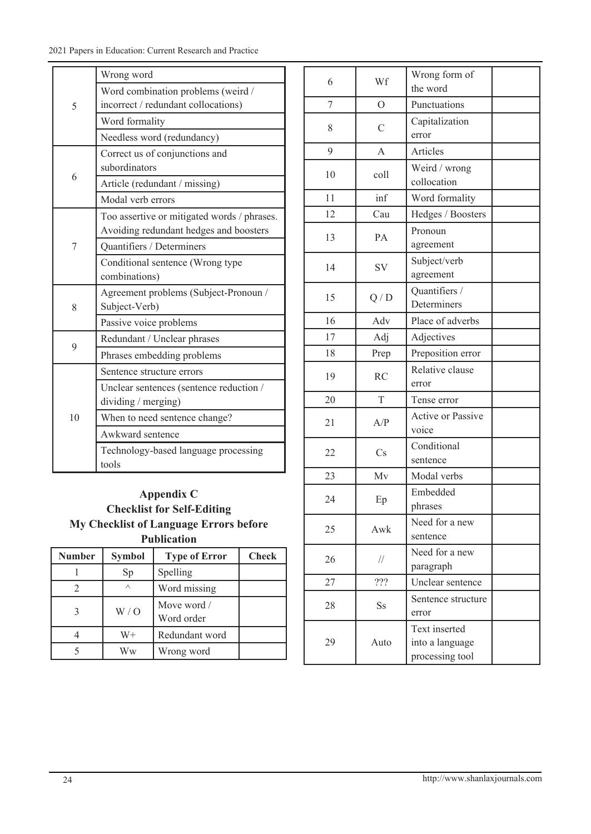|                | Wrong word                                  |  |  |
|----------------|---------------------------------------------|--|--|
| 5              | Word combination problems (weird /          |  |  |
|                | incorrect / redundant collocations)         |  |  |
|                | Word formality                              |  |  |
|                | Needless word (redundancy)                  |  |  |
|                | Correct us of conjunctions and              |  |  |
| 6              | subordinators                               |  |  |
|                | Article (redundant / missing)               |  |  |
|                | Modal verb errors                           |  |  |
|                | Too assertive or mitigated words / phrases. |  |  |
|                | Avoiding redundant hedges and boosters      |  |  |
| 7              | <b>Ouantifiers / Determiners</b>            |  |  |
|                | Conditional sentence (Wrong type            |  |  |
|                | combinations)                               |  |  |
|                | Agreement problems (Subject-Pronoun /       |  |  |
| 8              | Subject-Verb)                               |  |  |
|                | Passive voice problems                      |  |  |
| 9              | Redundant / Unclear phrases                 |  |  |
|                | Phrases embedding problems                  |  |  |
|                | Sentence structure errors                   |  |  |
|                | Unclear sentences (sentence reduction /     |  |  |
|                | dividing / merging)                         |  |  |
| 1 <sub>0</sub> | When to need sentence change?               |  |  |
|                | Awkward sentence                            |  |  |
|                | Technology-based language processing        |  |  |
|                | tools                                       |  |  |

| Appendix C                                    |
|-----------------------------------------------|
| <b>Checklist for Self-Editing</b>             |
| <b>My Checklist of Language Errors before</b> |
| <b>Publication</b>                            |

| Number | <b>Symbol</b> | <b>Type of Error</b>      | <b>Check</b> |
|--------|---------------|---------------------------|--------------|
|        | Sp            | Spelling                  |              |
|        | $\wedge$      | Word missing              |              |
|        | W/O           | Move word /<br>Word order |              |
|        | W+            | Redundant word            |              |
|        | Ww            | Wrong word                |              |

| 6  | Wf                     | Wrong form of<br>the word                           |  |  |
|----|------------------------|-----------------------------------------------------|--|--|
| 7  | $\overline{O}$         | Punctuations                                        |  |  |
| 8  | $\overline{C}$         | Capitalization<br>error                             |  |  |
| 9  | A                      | Articles                                            |  |  |
| 10 | coll                   | Weird / wrong<br>collocation                        |  |  |
| 11 | inf                    | Word formality                                      |  |  |
| 12 | Cau                    | Hedges / Boosters                                   |  |  |
| 13 | PA                     | Pronoun<br>agreement                                |  |  |
| 14 | <b>SV</b>              | Subject/verb<br>agreement                           |  |  |
| 15 | Q/D                    | Quantifiers /<br>Determiners                        |  |  |
| 16 | Adv                    | Place of adverbs                                    |  |  |
| 17 | Adj                    | Adjectives                                          |  |  |
| 18 | Prep                   | Preposition error                                   |  |  |
| 19 | <b>RC</b>              | Relative clause<br>error                            |  |  |
| 20 | T                      | Tense error                                         |  |  |
| 21 | A/P                    | <b>Active or Passive</b><br>voice                   |  |  |
| 22 | $\mathbf{C}\mathbf{s}$ | Conditional<br>sentence                             |  |  |
| 23 | Mv                     | Modal verbs                                         |  |  |
| 24 | Ep                     | Embedded<br>phrases                                 |  |  |
| 25 | Awk                    | Need for a new<br>sentence                          |  |  |
| 26 | $\frac{1}{2}$          | Need for a new<br>paragraph                         |  |  |
| 27 | ???                    | Unclear sentence                                    |  |  |
| 28 | Ss                     | Sentence structure<br>error                         |  |  |
| 29 | Auto                   | Text inserted<br>into a language<br>processing tool |  |  |